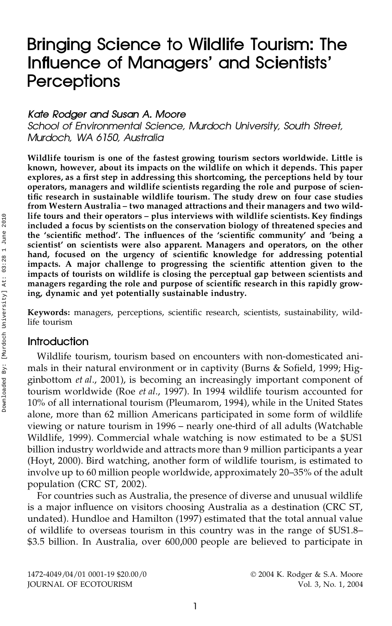# Bringing Science to Wildlife Tourism: The Influence of Managers' and Scientists' **Perceptions**

## *Kate Rodger and Susan A. Moore*

*School of Environmental Science, Murdoch University, South Street, Murdoch, WA 6150, Australia*

**Wildlife tourism is one of the fastest growing tourism sectors worldwide. Little is known, however, about its impacts on the wildlife on which it depends. This paper explores, as a rst step in addressing this shortcoming, the perceptions held by tour operators, managers and wildlife scientists regarding the role and purpose of scientic research in sustainable wildlife tourism. The study drew on four case studies from Western Australia – two managed attractions and their managers and two wildlife tours and their operators – plus interviews with wildlife scientists. Key ndings included a focus by scientists on the conservation biology of threatened species and the 'scientic method'. The inuences of the 'scientic community' and 'being a scientist' on scientists were also apparent. Managers and operators, on the other hand, focused on the urgency of scientic knowledge for addressing potential impacts. A major challenge to progressing the scientic attention given to the impacts of tourists on wildlife is closing the perceptual gap between scientists and managers regarding the role and purpose of scientic research in this rapidly growing, dynamic and yet potentially sustainable industry.**

Keywords: managers, perceptions, scientific research, scientists, sustainability, wildlife tourism

# **Introduction**

Wildlife tourism, tourism based on encounters with non-domesticated animals in their natural environment or in captivity (Burns & Sofield, 1999; Higginbottom *et al*., 2001), is becoming an increasingly important component of tourism worldwide (Roe *et al*., 1997). In 1994 wildlife tourism accounted for 10% of all international tourism (Pleumarom, 1994), while in the United States alone, more than 62 million Americans participated in some form of wildlife viewing or nature tourism in 1996 – nearly one-third of all adults (Watchable Wildlife, 1999). Commercial whale watching is now estimated to be a \$US1 billion industry worldwide and attracts more than 9 million participants a year (Hoyt, 2000). Bird watching, another form of wildlife tourism, is estimated to involve up to 60 million people worldwide, approximately 20–35% of the adult population (CRC ST, 2002). Interiors and their operators – plus interiores – plus interiores<br>
included a focus by scientists on the conservat<br>
the 'scientific method'. The influences of the<br>
scientific more also apparent. We<br>
and, focused on the urg

For countries such as Australia, the presence of diverse and unusual wildlife is a major influence on visitors choosing Australia as a destination (CRC ST, undated). Hundloe and Hamilton (1997) estimated that the total annual value of wildlife to overseas tourism in this country was in the range of \$US1.8– \$3.5 billion. In Australia, over 600,000 people are believed to participate in

1472-4049/04/01 0001-19 \$20.00/0 © 2004 K. Rodger & S.A. Moore JOURNAL OF ECOTOURISM Vol. 3, No. 1, 2004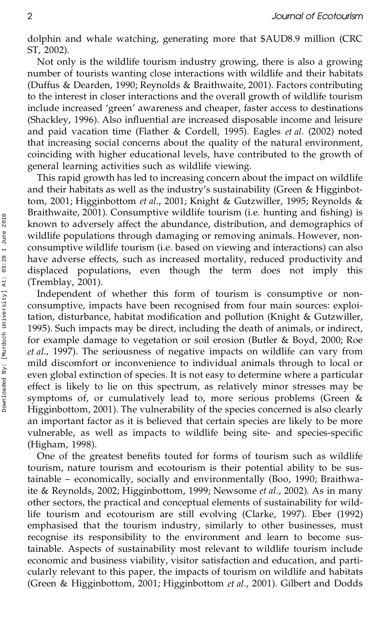dolphin and whale watching, generating more that \$AUD8.9 million (CRC ST, 2002).

Not only is the wildlife tourism industry growing, there is also a growing number of tourists wanting close interactions with wildlife and their habitats (Duffus & Dearden, 1990; Reynolds & Braithwaite, 2001). Factors contributing to the interest in closer interactions and the overall growth of wildlife tourism include increased 'green' awareness and cheaper, faster access to destinations (Shackley, 1996). Also influential are increased disposable income and leisure and paid vacation time (Flather & Cordell, 1995). Eagles *et al*. (2002) noted that increasing social concerns about the quality of the natural environment, coinciding with higher educational levels, have contributed to the growth of general learning activities such as wildlife viewing.

This rapid growth has led to increasing concern about the impact on wildlife and their habitats as well as the industry's sustainability (Green & Higginbottom, 2001; Higginbottom *et al*., 2001; Knight & Gutzwiller, 1995; Reynolds & Braithwaite, 2001). Consumptive wildlife tourism (i.e. hunting and fishing) is known to adversely affect the abundance, distribution, and demographics of wildlife populations through damaging or removing animals. However, nonconsumptive wildlife tourism (i.e. based on viewing and interactions) can also have adverse effects, such as increased mortality, reduced productivity and displaced populations, even though the term does not imply this (Tremblay, 2001).

Independent of whether this form of tourism is consumptive or nonconsumptive, impacts have been recognised from four main sources: exploitation, disturbance, habitat modification and pollution (Knight & Gutzwiller, 1995). Such impacts may be direct, including the death of animals, or indirect, for example damage to vegetation or soil erosion (Butler & Boyd, 2000; Roe *et al*., 1997). The seriousness of negative impacts on wildlife can vary from mild discomfort or inconvenience to individual animals through to local or even global extinction of species. It is not easy to determine where a particular effect is likely to lie on this spectrum, as relatively minor stresses may be symptoms of, or cumulatively lead to, more serious problems (Green & Higginbottom, 2001). The vulnerability of the species concerned is also clearly an important factor as it is believed that certain species are likely to be more vulnerable, as well as impacts to wildlife being site- and species-specific (Higham, 1998).

One of the greatest benefits touted for forms of tourism such as wildlife tourism, nature tourism and ecotourism is their potential ability to be sustainable – economically, socially and environmentally (Boo, 1990; Braithwaite & Reynolds, 2002; Higginbottom, 1999; Newsome *et al*., 2002). As in many other sectors, the practical and conceptual elements of sustainability for wildlife tourism and ecotourism are still evolving (Clarke, 1997). Eber (1992) emphasised that the tourism industry, similarly to other businesses, must recognise its responsibility to the environment and learn to become sustainable. Aspects of sustainability most relevant to wildlife tourism include economic and business viability, visitor satisfaction and education, and particularly relevant to this paper, the impacts of tourism on wildlife and habitats (Green & Higginbottom, 2001; Higginbottom *et al*., 2001). Gilbert and Dodds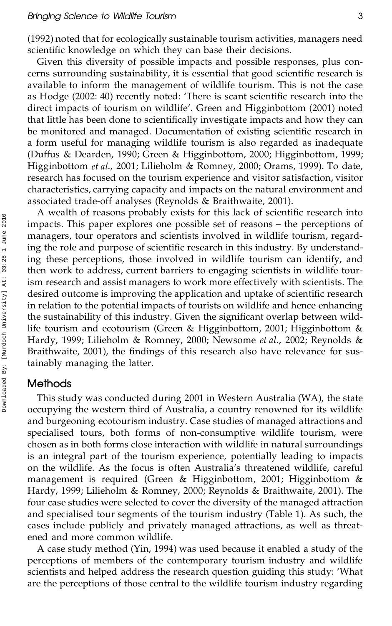#### *Bringing Science to Wildlife Tourism* 3

(1992) noted that for ecologically sustainable tourism activities, managers need scientific knowledge on which they can base their decisions.

Given this diversity of possible impacts and possible responses, plus concerns surrounding sustainability, it is essential that good scientific research is available to inform the management of wildlife tourism. This is not the case as Hodge (2002: 40) recently noted: 'There is scant scientific research into the direct impacts of tourism on wildlife'. Green and Higginbottom (2001) noted that little has been done to scientifically investigate impacts and how they can be monitored and managed. Documentation of existing scientific research in a form useful for managing wildlife tourism is also regarded as inadequate (Duffus & Dearden, 1990; Green & Higginbottom, 2000; Higginbottom, 1999; Higginbottom *et al*., 2001; Lilieholm & Romney, 2000; Orams, 1999). To date, research has focused on the tourism experience and visitor satisfaction, visitor characteristics, carrying capacity and impacts on the natural environment and associated trade-off analyses (Reynolds & Braithwaite, 2001).

A wealth of reasons probably exists for this lack of scientific research into impacts. This paper explores one possible set of reasons – the perceptions of managers, tour operators and scientists involved in wildlife tourism, regarding the role and purpose of scientific research in this industry. By understanding these perceptions, those involved in wildlife tourism can identify, and then work to address, current barriers to engaging scientists in wildlife tourism research and assist managers to work more effectively with scientists. The desired outcome is improving the application and uptake of scientific research in relation to the potential impacts of tourists on wildlife and hence enhancing the sustainability of this industry. Given the significant overlap between wildlife tourism and ecotourism (Green & Higginbottom, 2001; Higginbottom & Hardy, 1999; Lilieholm & Romney, 2000; Newsome *et al*., 2002; Reynolds & Braithwaite, 2001), the findings of this research also have relevance for sustainably managing the latter.

## Methods

This study was conducted during 2001 in Western Australia (WA), the state occupying the western third of Australia, a country renowned for its wildlife and burgeoning ecotourism industry. Case studies of managed attractions and specialised tours, both forms of non-consumptive wildlife tourism, were chosen as in both forms close interaction with wildlife in natural surroundings is an integral part of the tourism experience, potentially leading to impacts on the wildlife. As the focus is often Australia's threatened wildlife, careful management is required (Green & Higginbottom, 2001; Higginbottom & Hardy, 1999; Lilieholm & Romney, 2000; Reynolds & Braithwaite, 2001). The four case studies were selected to cover the diversity of the managed attraction and specialised tour segments of the tourism industry (Table 1). As such, the cases include publicly and privately managed attractions, as well as threatened and more common wildlife.

A case study method (Yin, 1994) was used because it enabled a study of the perceptions of members of the contemporary tourism industry and wildlife scientists and helped address the research question guiding this study: 'What are the perceptions of those central to the wildlife tourism industry regarding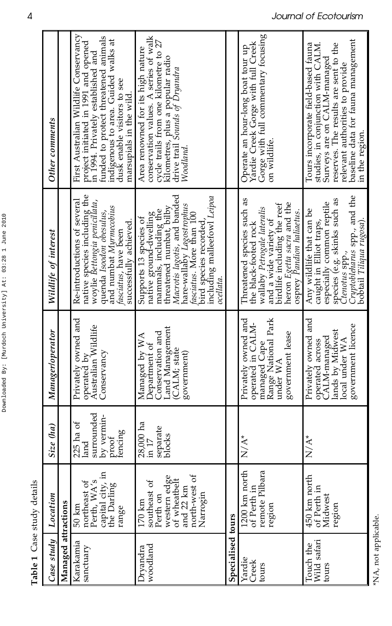| l<br>,<br>ł<br>t<br>l<br>Ï   |
|------------------------------|
| J.<br>ı<br>ׇׇ֚֘֕֡<br>I<br>I. |
| ı                            |
| ł<br>١<br>¢<br>١<br>ï        |
| At                           |
| l<br>j<br>I<br>۱<br>l<br>֘֒  |
| ı<br>l<br>l                  |
| ś<br>ì<br>ļ                  |
| f                            |

|                                   |                                                                                                             |                                                                   |                                                                                                                    | Downloaded By: [Murdoch University] At: 03:28 1 June 2010                                                                                                                                                                                                            |                                                                                                                                                                                                                                                              |
|-----------------------------------|-------------------------------------------------------------------------------------------------------------|-------------------------------------------------------------------|--------------------------------------------------------------------------------------------------------------------|----------------------------------------------------------------------------------------------------------------------------------------------------------------------------------------------------------------------------------------------------------------------|--------------------------------------------------------------------------------------------------------------------------------------------------------------------------------------------------------------------------------------------------------------|
|                                   | Table 1 Case study details                                                                                  |                                                                   |                                                                                                                    |                                                                                                                                                                                                                                                                      |                                                                                                                                                                                                                                                              |
| Case study                        | Location                                                                                                    | Size $(ha)$                                                       | Managerloperator                                                                                                   | Wildlife of interest                                                                                                                                                                                                                                                 | Other comments                                                                                                                                                                                                                                               |
| Managed attractions               |                                                                                                             |                                                                   |                                                                                                                    |                                                                                                                                                                                                                                                                      |                                                                                                                                                                                                                                                              |
| Karakamia<br>sanctuary            | capital city, in<br>Perth, WA's<br>northeast of<br>the Darling<br>50 km<br>range                            | surrounded<br>by vermin-<br>225 ha of<br>fencing<br>proof<br>land | Privately owned and<br>operated by<br>Australian Wildlife<br>Conservancy                                           | native species including the<br>Re-introductions of several<br>woylie Bettongia penicillata,<br>and numbat Myrmecobius<br>quenda Isoodon obesulus,<br>successfully achieved<br>fasciatus, have been                                                                  | First Australian Wildlife Conservancy<br>funded to protect threatened animals<br>indigenous to area. Guided walks at<br>project initiated in 1991 and opened<br>in 1994. Privately established and<br>dusk enable visitors to see<br>marsupials in the wild. |
| woodland<br>Dryandra              | north-west of<br>western edge<br>southeast of<br>of wheatbel<br>and 22 km<br>Narrogin<br>Perth on<br>170 km | $28,000$ ha in $17$<br>separate<br>blocks                         | Land Management<br>Conservation and<br>Managed by WA<br>Department of<br>(CALM; state<br>government)               | Macrotis lagotis, and banded<br>including malleefowl Leipoa<br>hare-wallaby Lagostrophus<br>native ground-dwelling<br>mammals, including the<br>threatened numbat, bilby<br>fasciatus. More than 100<br>Supports 13 species of<br>bird species recorded<br>ocellata. | conservation values. A series of walk<br>cycle trails from one kilometre to 27<br>Area renowned for its high nature<br>kilometres, plus a popular radio<br>drive trail Sounds of Dryandra<br>Woodland.                                                       |
| Specialised tours                 |                                                                                                             |                                                                   |                                                                                                                    |                                                                                                                                                                                                                                                                      |                                                                                                                                                                                                                                                              |
| Yardie<br>Creek<br>tours          | remote Pilbara<br>1200 km north<br>of Perth in<br>region                                                    | $N/A^*$                                                           | Range National Park<br>under WA<br>Privately owned and<br>operated in CALM-<br>government lease<br>managed Cape    | Threatened species such as<br>heron Egetta sacra and the<br>osprey Pandion haliaetus.<br>birdlife including the reef<br>wallaby Petrogale lateralis<br>and a wide variety of<br>the black-footed rock                                                                | Operate an hour-long boat tour up<br>Yardie Creek Gorge with full Creek<br>Gorge with full commentary focusing<br>on wildlife.                                                                                                                               |
| Wild safari<br>Touch the<br>tours | 450 km north<br>of Perth in<br>Midwest<br>region                                                            | $N/A^*$                                                           | Privately owned and<br>government licence<br>lands by Midwest<br>operated across<br>CALM-managed<br>local under WA | Cryptobleharus spp., and the<br>bobtail Tiliqua rugosa).<br>species (e.g. skinks such as<br>especially common reptile<br>Any wildlife that can be<br>caught in Elliot traps,<br>Ctenotus spp.,                                                                       | baseline data for fauna management<br>Tours incorporate field-based fauna<br>reserves. The results are sent to the<br>studies, in conjunction with CALM.<br>Surveys are on CALM-managed<br>relevant authorities to provide<br>in the region.                 |
| *NA, not applicable.              |                                                                                                             |                                                                   |                                                                                                                    |                                                                                                                                                                                                                                                                      |                                                                                                                                                                                                                                                              |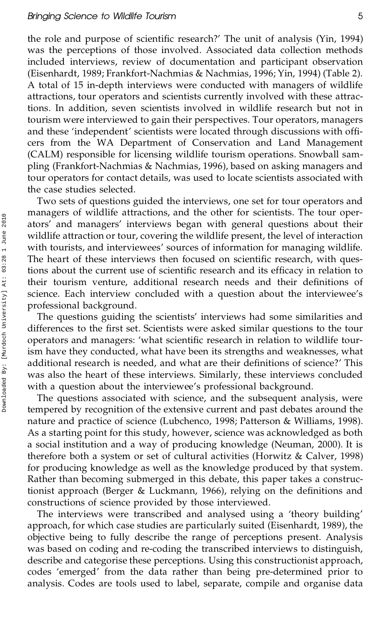the role and purpose of scientific research?' The unit of analysis (Yin, 1994) was the perceptions of those involved. Associated data collection methods included interviews, review of documentation and participant observation (Eisenhardt, 1989; Frankfort-Nachmias & Nachmias, 1996; Yin, 1994) (Table 2). A total of 15 in-depth interviews were conducted with managers of wildlife attractions, tour operators and scientists currently involved with these attractions. In addition, seven scientists involved in wildlife research but not in tourism were interviewed to gain their perspectives. Tour operators, managers and these 'independent' scientists were located through discussions with officers from the WA Department of Conservation and Land Management (CALM) responsible for licensing wildlife tourism operations. Snowball sampling (Frankfort-Nachmias & Nachmias, 1996), based on asking managers and tour operators for contact details, was used to locate scientists associated with the case studies selected.

Two sets of questions guided the interviews, one set for tour operators and managers of wildlife attractions, and the other for scientists. The tour operators' and managers' interviews began with general questions about their wildlife attraction or tour, covering the wildlife present, the level of interaction with tourists, and interviewees' sources of information for managing wildlife. The heart of these interviews then focused on scientific research, with questions about the current use of scientific research and its efficacy in relation to their tourism venture, additional research needs and their definitions of science. Each interview concluded with a question about the interviewee's professional background.

The questions guiding the scientists' interviews had some similarities and differences to the first set. Scientists were asked similar questions to the tour operators and managers: 'what scientific research in relation to wildlife tourism have they conducted, what have been its strengths and weaknesses, what additional research is needed, and what are their definitions of science?' This was also the heart of these interviews. Similarly, these interviews concluded with a question about the interviewee's professional background.

The questions associated with science, and the subsequent analysis, were tempered by recognition of the extensive current and past debates around the nature and practice of science (Lubchenco, 1998; Patterson & Williams, 1998). As a starting point for this study, however, science was acknowledged as both a social institution and a way of producing knowledge (Neuman, 2000). It is therefore both a system or set of cultural activities (Horwitz & Calver, 1998) for producing knowledge as well as the knowledge produced by that system. Rather than becoming submerged in this debate, this paper takes a constructionist approach (Berger & Luckmann, 1966), relying on the definitions and constructions of science provided by those interviewed.

The interviews were transcribed and analysed using a 'theory building' approach, for which case studies are particularly suited (Eisenhardt, 1989), the objective being to fully describe the range of perceptions present. Analysis was based on coding and re-coding the transcribed interviews to distinguish, describe and categorise these perceptions. Using this constructionist approach, codes 'emerged' from the data rather than being pre-determined prior to analysis. Codes are tools used to label, separate, compile and organise data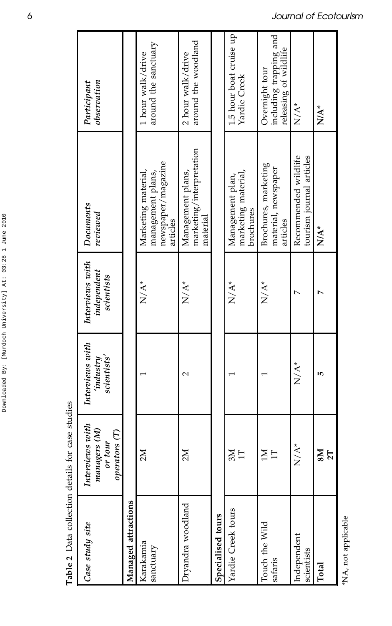| I<br>١<br>֠<br>ı                                                                               |
|------------------------------------------------------------------------------------------------|
| ۱<br>١<br>ı<br>j<br>I                                                                          |
| ł<br>t                                                                                         |
| ¢<br>١<br>¢<br>ı<br>¢<br>١<br>¢                                                                |
| J<br>ı<br>ï                                                                                    |
| I<br>l<br>l<br>l<br>i<br>l<br>I<br>۱<br>ׇ֚֕֡<br>֖֖֖֖֖֖֧֪ׅׅ֚֚֚֚֚֚֚֚֚֚֚֚֚֚֚֚֚֬֝֓֡֡֝֬֓֞֡֡֓֬֝֓֬֝֓֬ |
| i<br>ļ<br>١<br>١<br>í                                                                          |
| Ÿ<br>Ì<br>١                                                                                    |
| Ì<br>I<br>I<br>í<br>l<br>I                                                                     |

| Table 2 Data collection details | for case studies                                           |                                            |                                              |                                                                            |                                                                   |
|---------------------------------|------------------------------------------------------------|--------------------------------------------|----------------------------------------------|----------------------------------------------------------------------------|-------------------------------------------------------------------|
| Case study site                 | Interviews with<br>managers (M)<br>operators(T)<br>or tour | Interviews with<br>scientists'<br>industry | Interviews with<br>independent<br>scientists | Documents<br>reviewed                                                      | observation<br>Participant                                        |
| Managed attractions             |                                                            |                                            |                                              |                                                                            |                                                                   |
| Karakamia<br>sanctuary          | $\mathbb{N}$                                               |                                            | $N/A^*$                                      | newspaper/magazine<br>articles<br>management plans,<br>Marketing material, | around the sanctuary<br>1 hour walk/drive                         |
| Dryandra woodland               | M <sub>2</sub>                                             | $\mathsf{C}$                               | $N/A^*$                                      | marketing/interpretation<br>Management plans,<br>material                  | around the woodland<br>2 hour walk/drive                          |
| Specialised tours               |                                                            |                                            |                                              |                                                                            |                                                                   |
| Yardie Creek tours              | 3M<br>$\Box$                                               |                                            | $N/A^*$                                      | marketing material,<br>brochures<br>Management plan,                       | 1.5 hour boat cruise up<br>Yardie Creek                           |
| Touch the Wild<br>safaris       | $\overline{\Box}$<br>$\mathbb{R}$                          |                                            | $N/A^*$                                      | Brochures, marketing<br>material, newspaper<br>articles                    | including trapping and<br>releasing of wildlife<br>Overnight tour |
| Independent<br>scientists       | $N/A^*$                                                    | $N/A^*$                                    | N                                            | Recommended wildlife<br>tourism journal articles                           | $N/A^*$                                                           |
| Total                           | <b>NS</b><br>2T                                            | ю                                          | N                                            | $\sum_{k=1}^{k}$                                                           | $N/A^*$                                                           |
| *NA, not applicable             |                                                            |                                            |                                              |                                                                            |                                                                   |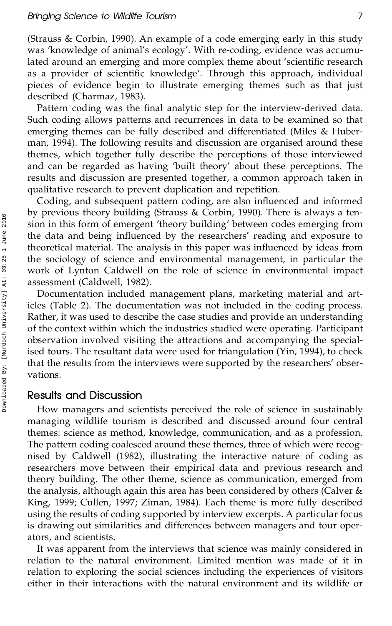(Strauss & Corbin, 1990). An example of a code emerging early in this study was 'knowledge of animal's ecology'. With re-coding, evidence was accumulated around an emerging and more complex theme about 'scientific research as a provider of scientific knowledge'. Through this approach, individual pieces of evidence begin to illustrate emerging themes such as that just described (Charmaz, 1983).

Pattern coding was the final analytic step for the interview-derived data. Such coding allows patterns and recurrences in data to be examined so that emerging themes can be fully described and differentiated (Miles & Huberman, 1994). The following results and discussion are organised around these themes, which together fully describe the perceptions of those interviewed and can be regarded as having 'built theory' about these perceptions. The results and discussion are presented together, a common approach taken in qualitative research to prevent duplication and repetition.

Coding, and subsequent pattern coding, are also influenced and informed by previous theory building (Strauss & Corbin, 1990). There is always a tension in this form of emergent 'theory building' between codes emerging from the data and being influenced by the researchers' reading and exposure to theoretical material. The analysis in this paper was influenced by ideas from the sociology of science and environmental management, in particular the work of Lynton Caldwell on the role of science in environmental impact assessment (Caldwell, 1982).

Documentation included management plans, marketing material and articles (Table 2). The documentation was not included in the coding process. Rather, it was used to describe the case studies and provide an understanding of the context within which the industries studied were operating. Participant observation involved visiting the attractions and accompanying the specialised tours. The resultant data were used for triangulation (Yin, 1994), to check that the results from the interviews were supported by the researchers' observations.

# Results and Discussion

How managers and scientists perceived the role of science in sustainably managing wildlife tourism is described and discussed around four central themes: science as method, knowledge, communication, and as a profession. The pattern coding coalesced around these themes, three of which were recognised by Caldwell (1982), illustrating the interactive nature of coding as researchers move between their empirical data and previous research and theory building. The other theme, science as communication, emerged from the analysis, although again this area has been considered by others (Calver & King, 1999; Cullen, 1997; Ziman, 1984). Each theme is more fully described using the results of coding supported by interview excerpts. A particular focus is drawing out similarities and differences between managers and tour operators, and scientists.

It was apparent from the interviews that science was mainly considered in relation to the natural environment. Limited mention was made of it in relation to exploring the social sciences including the experiences of visitors either in their interactions with the natural environment and its wildlife or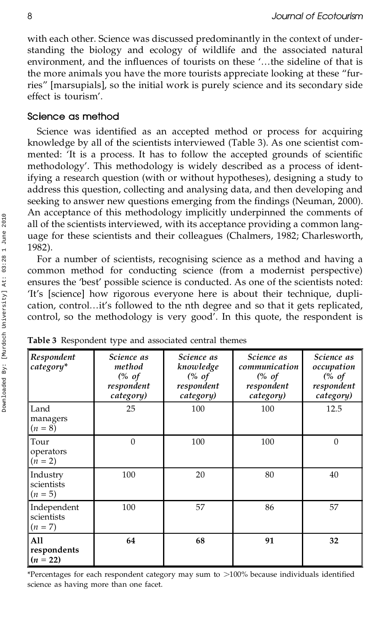with each other. Science was discussed predominantly in the context of understanding the biology and ecology of wildlife and the associated natural environment, and the influences of tourists on these '...the sideline of that is the more animals you have the more tourists appreciate looking at these "furries" [marsupials], so the initial work is purely science and its secondary side effect is tourism'.

### Science as method

Science was identified as an accepted method or process for acquiring knowledge by all of the scientists interviewed (Table 3). As one scientist commented: 'It is a process. It has to follow the accepted grounds of scientific methodology'. This methodology is widely described as a process of identifying a research question (with or without hypotheses), designing a study to address this question, collecting and analysing data, and then developing and seeking to answer new questions emerging from the findings (Neuman, 2000). An acceptance of this methodology implicitly underpinned the comments of all of the scientists interviewed, with its acceptance providing a common language for these scientists and their colleagues (Chalmers, 1982; Charlesworth, 1982).

For a number of scientists, recognising science as a method and having a common method for conducting science (from a modernist perspective) ensures the 'best' possible science is conducted. As one of the scientists noted: 'It's [science] how rigorous everyone here is about their technique, duplication, control…it's followed to the nth degree and so that it gets replicated, control, so the methodology is very good'. In this quote, the respondent is

| $\parallel$ Respondent<br>category*    | Science as<br>method<br>$(% \mathcal{L}_{0}^{\prime }\circ \mathcal{L}_{1})$<br>respondent<br>category) | Science as<br>knowledge<br>$(% \mathcal{L}_{0}^{\infty} \times \mathcal{L}_{1})$<br>respondent<br>category) | Science as<br>communication<br>$(% \mathcal{L}_{0}^{\prime }\circ \mathcal{L}_{1})$<br>respondent<br>category) | Science as<br>occupation<br>% of<br>respondent<br>category) |
|----------------------------------------|---------------------------------------------------------------------------------------------------------|-------------------------------------------------------------------------------------------------------------|----------------------------------------------------------------------------------------------------------------|-------------------------------------------------------------|
| Land<br> managers<br>$(n = 8)$         | 25                                                                                                      | 100                                                                                                         | 100                                                                                                            | 12.5                                                        |
| Tour<br>operators<br>$(n = 2)$         | $\mathbf{0}$                                                                                            | 100                                                                                                         | 100                                                                                                            | $\theta$                                                    |
| Industry<br>scientists<br>$(n = 5)$    | 100                                                                                                     | 20                                                                                                          | 80                                                                                                             | 40                                                          |
| Independent<br>scientists<br>$(n = 7)$ | 100                                                                                                     | 57                                                                                                          | 86                                                                                                             | 57                                                          |
| A11<br>respondents<br>$(n = 22)$       | 64                                                                                                      | 68                                                                                                          | 91                                                                                                             | 32                                                          |

**Table 3** Respondent type and associated central themes

<sup>\*</sup>Percentages for each respondent category may sum to  $>100\%$  because individuals identified science as having more than one facet.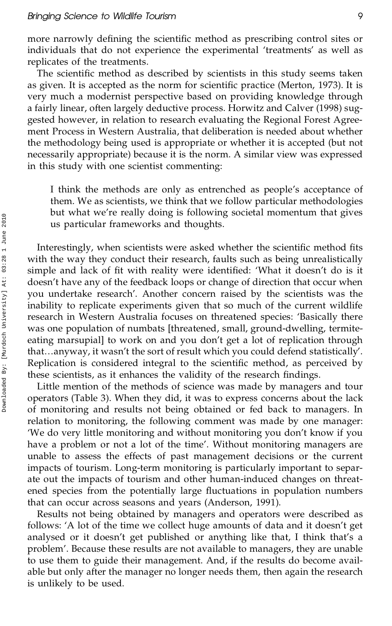more narrowly defining the scientific method as prescribing control sites or individuals that do not experience the experimental 'treatments' as well as replicates of the treatments.

The scientific method as described by scientists in this study seems taken as given. It is accepted as the norm for scientific practice (Merton, 1973). It is very much a modernist perspective based on providing knowledge through a fairly linear, often largely deductive process. Horwitz and Calver (1998) suggested however, in relation to research evaluating the Regional Forest Agreement Process in Western Australia, that deliberation is needed about whether the methodology being used is appropriate or whether it is accepted (but not necessarily appropriate) because it is the norm. A similar view was expressed in this study with one scientist commenting:

I think the methods are only as entrenched as people's acceptance of them. We as scientists, we think that we follow particular methodologies but what we're really doing is following societal momentum that gives us particular frameworks and thoughts.

Interestingly, when scientists were asked whether the scientific method fits with the way they conduct their research, faults such as being unrealistically simple and lack of fit with reality were identified: 'What it doesn't do is it doesn't have any of the feedback loops or change of direction that occur when you undertake research'. Another concern raised by the scientists was the inability to replicate experiments given that so much of the current wildlife research in Western Australia focuses on threatened species: 'Basically there was one population of numbats [threatened, small, ground-dwelling, termiteeating marsupial] to work on and you don't get a lot of replication through that…anyway, it wasn't the sort of result which you could defend statistically'. Replication is considered integral to the scientific method, as perceived by these scientists, as it enhances the validity of the research findings.

Little mention of the methods of science was made by managers and tour operators (Table 3). When they did, it was to express concerns about the lack of monitoring and results not being obtained or fed back to managers. In relation to monitoring, the following comment was made by one manager: 'We do very little monitoring and without monitoring you don't know if you have a problem or not a lot of the time'. Without monitoring managers are unable to assess the effects of past management decisions or the current impacts of tourism. Long-term monitoring is particularly important to separate out the impacts of tourism and other human-induced changes on threatened species from the potentially large fluctuations in population numbers that can occur across seasons and years (Anderson, 1991).

Results not being obtained by managers and operators were described as follows: 'A lot of the time we collect huge amounts of data and it doesn't get analysed or it doesn't get published or anything like that, I think that's a problem'. Because these results are not available to managers, they are unable to use them to guide their management. And, if the results do become available but only after the manager no longer needs them, then again the research is unlikely to be used.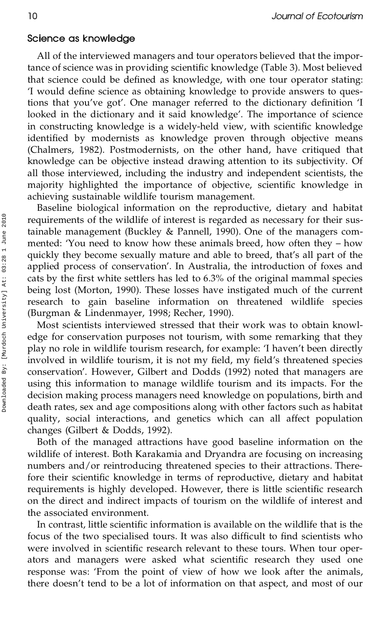#### Science as knowledge

All of the interviewed managers and tour operators believed that the importance of science was in providing scientific knowledge (Table 3). Most believed that science could be defined as knowledge, with one tour operator stating: 'I would define science as obtaining knowledge to provide answers to questions that you've got'. One manager referred to the dictionary definition 'I looked in the dictionary and it said knowledge'. The importance of science in constructing knowledge is a widely-held view, with scientific knowledge identified by modernists as knowledge proven through objective means (Chalmers, 1982). Postmodernists, on the other hand, have critiqued that knowledge can be objective instead drawing attention to its subjectivity. Of all those interviewed, including the industry and independent scientists, the majority highlighted the importance of objective, scientific knowledge in achieving sustainable wildlife tourism management.

Baseline biological information on the reproductive, dietary and habitat requirements of the wildlife of interest is regarded as necessary for their sustainable management (Buckley & Pannell, 1990). One of the managers commented: 'You need to know how these animals breed, how often they – how quickly they become sexually mature and able to breed, that's all part of the applied process of conservation'. In Australia, the introduction of foxes and cats by the first white settlers has led to 6.3% of the original mammal species being lost (Morton, 1990). These losses have instigated much of the current research to gain baseline information on threatened wildlife species (Burgman & Lindenmayer, 1998; Recher, 1990).

Most scientists interviewed stressed that their work was to obtain knowledge for conservation purposes not tourism, with some remarking that they play no role in wildlife tourism research, for example: 'I haven't been directly involved in wildlife tourism, it is not my field, my field's threatened species conservation'. However, Gilbert and Dodds (1992) noted that managers are using this information to manage wildlife tourism and its impacts. For the decision making process managers need knowledge on populations, birth and death rates, sex and age compositions along with other factors such as habitat quality, social interactions, and genetics which can all affect population changes (Gilbert & Dodds, 1992).

Both of the managed attractions have good baseline information on the wildlife of interest. Both Karakamia and Dryandra are focusing on increasing numbers and/or reintroducing threatened species to their attractions. Therefore their scientific knowledge in terms of reproductive, dietary and habitat requirements is highly developed. However, there is little scientific research on the direct and indirect impacts of tourism on the wildlife of interest and the associated environment.

In contrast, little scientific information is available on the wildlife that is the focus of the two specialised tours. It was also difficult to find scientists who were involved in scientific research relevant to these tours. When tour operators and managers were asked what scientific research they used one response was: 'From the point of view of how we look after the animals, there doesn't tend to be a lot of information on that aspect, and most of our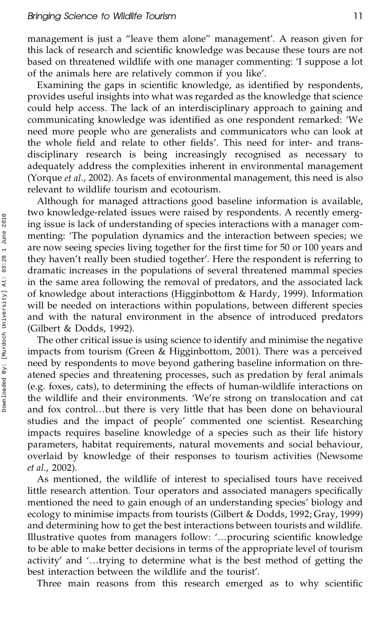management is just a "leave them alone" management'. A reason given for this lack of research and scientific knowledge was because these tours are not based on threatened wildlife with one manager commenting: 'I suppose a lot of the animals here are relatively common if you like'.

Examining the gaps in scientific knowledge, as identified by respondents, provides useful insights into what was regarded as the knowledge that science could help access. The lack of an interdisciplinary approach to gaining and communicating knowledge was identified as one respondent remarked: 'We need more people who are generalists and communicators who can look at the whole field and relate to other fields'. This need for inter- and transdisciplinary research is being increasingly recognised as necessary to adequately address the complexities inherent in environmental management (Yorque *et al*., 2002). As facets of environmental management, this need is also relevant to wildlife tourism and ecotourism.

Although for managed attractions good baseline information is available, two knowledge-related issues were raised by respondents. A recently emerging issue is lack of understanding of species interactions with a manager commenting: 'The population dynamics and the interaction between species; we are now seeing species living together for the first time for 50 or 100 years and they haven't really been studied together'. Here the respondent is referring to dramatic increases in the populations of several threatened mammal species in the same area following the removal of predators, and the associated lack of knowledge about interactions (Higginbottom & Hardy, 1999). Information will be needed on interactions within populations, between different species and with the natural environment in the absence of introduced predators (Gilbert & Dodds, 1992).

The other critical issue is using science to identify and minimise the negative impacts from tourism (Green & Higginbottom, 2001). There was a perceived need by respondents to move beyond gathering baseline information on threatened species and threatening processes, such as predation by feral animals (e.g. foxes, cats), to determining the effects of human-wildlife interactions on the wildlife and their environments. 'We're strong on translocation and cat and fox control…but there is very little that has been done on behavioural studies and the impact of people' commented one scientist. Researching impacts requires baseline knowledge of a species such as their life history parameters, habitat requirements, natural movements and social behaviour, overlaid by knowledge of their responses to tourism activities (Newsome *et al*., 2002). The population dynamics and the interaction between species interactions with a manager commetrized as to three terms of the interaction between species; we are now seeing species living together for the first time for 50

As mentioned, the wildlife of interest to specialised tours have received little research attention. Tour operators and associated managers specifically mentioned the need to gain enough of an understanding species' biology and ecology to minimise impacts from tourists (Gilbert & Dodds, 1992; Gray, 1999) and determining how to get the best interactions between tourists and wildlife. Illustrative quotes from managers follow: '...procuring scientific knowledge to be able to make better decisions in terms of the appropriate level of tourism activity' and '…trying to determine what is the best method of getting the best interaction between the wildlife and the tourist'.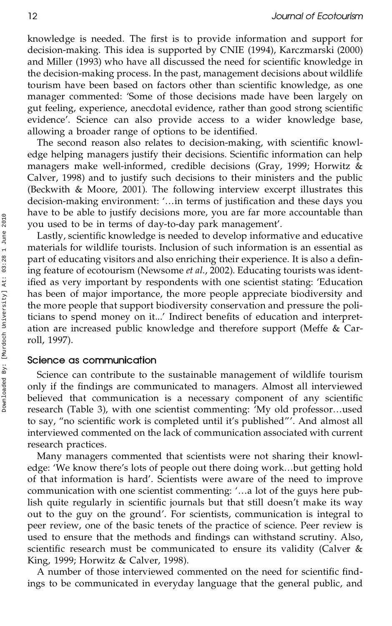knowledge is needed. The first is to provide information and support for decision-making. This idea is supported by CNIE (1994), Karczmarski (2000) and Miller (1993) who have all discussed the need for scientific knowledge in the decision-making process. In the past, management decisions about wildlife tourism have been based on factors other than scientific knowledge, as one manager commented: 'Some of those decisions made have been largely on gut feeling, experience, anecdotal evidence, rather than good strong scientific evidence'. Science can also provide access to a wider knowledge base, allowing a broader range of options to be identified.

The second reason also relates to decision-making, with scientific knowledge helping managers justify their decisions. Scientific information can help managers make well-informed, credible decisions (Gray, 1999; Horwitz & Calver, 1998) and to justify such decisions to their ministers and the public (Beckwith & Moore, 2001). The following interview excerpt illustrates this decision-making environment: '...in terms of justification and these days you have to be able to justify decisions more, you are far more accountable than you used to be in terms of day-to-day park management'.

Lastly, scientific knowledge is needed to develop informative and educative materials for wildlife tourists. Inclusion of such information is an essential as part of educating visitors and also enriching their experience. It is also a defining feature of ecotourism (Newsome *et al*., 2002). Educating tourists was identified as very important by respondents with one scientist stating: 'Education has been of major importance, the more people appreciate biodiversity and the more people that support biodiversity conservation and pressure the politicians to spend money on it...' Indirect benefits of education and interpretation are increased public knowledge and therefore support (Meffe & Carroll, 1997).

#### Science as communication

Science can contribute to the sustainable management of wildlife tourism only if the findings are communicated to managers. Almost all interviewed believed that communication is a necessary component of any scientific research (Table 3), with one scientist commenting: 'My old professor…used to say, "no scientific work is completed until it's published"'. And almost all interviewed commented on the lack of communication associated with current research practices.

Many managers commented that scientists were not sharing their knowledge: 'We know there's lots of people out there doing work…but getting hold of that information is hard'. Scientists were aware of the need to improve communication with one scientist commenting: '…a lot of the guys here publish quite regularly in scientific journals but that still doesn't make its way out to the guy on the ground'. For scientists, communication is integral to peer review, one of the basic tenets of the practice of science. Peer review is used to ensure that the methods and findings can withstand scrutiny. Also, scientific research must be communicated to ensure its validity (Calver & King, 1999; Horwitz & Calver, 1998).

A number of those interviewed commented on the need for scientific findings to be communicated in everyday language that the general public, and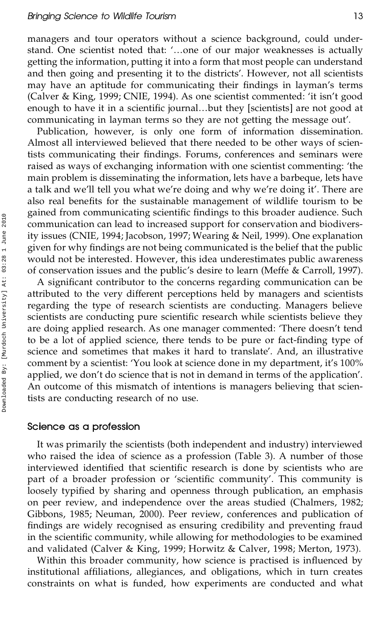managers and tour operators without a science background, could understand. One scientist noted that: '…one of our major weaknesses is actually getting the information, putting it into a form that most people can understand and then going and presenting it to the districts'. However, not all scientists may have an aptitude for communicating their findings in layman's terms (Calver & King, 1999; CNIE, 1994). As one scientist commented: 'it isn't good enough to have it in a scientific journal...but they [scientists] are not good at communicating in layman terms so they are not getting the message out'.

Publication, however, is only one form of information dissemination. Almost all interviewed believed that there needed to be other ways of scientists communicating their findings. Forums, conferences and seminars were raised as ways of exchanging information with one scientist commenting: 'the main problem is disseminating the information, lets have a barbeque, lets have a talk and we'll tell you what we're doing and why we're doing it'. There are also real benefits for the sustainable management of wildlife tourism to be gained from communicating scientific findings to this broader audience. Such communication can lead to increased support for conservation and biodiversity issues (CNIE, 1994; Jacobson, 1997; Wearing & Neil, 1999). One explanation given for why findings are not being communicated is the belief that the public would not be interested. However, this idea underestimates public awareness of conservation issues and the public's desire to learn (Meffe & Carroll, 1997).

A significant contributor to the concerns regarding communication can be attributed to the very different perceptions held by managers and scientists regarding the type of research scientists are conducting. Managers believe scientists are conducting pure scientific research while scientists believe they are doing applied research. As one manager commented: 'There doesn't tend to be a lot of applied science, there tends to be pure or fact-finding type of science and sometimes that makes it hard to translate'. And, an illustrative comment by a scientist: 'You look at science done in my department, it's 100% applied, we don't do science that is not in demand in terms of the application'. An outcome of this mismatch of intentions is managers believing that scientists are conducting research of no use.

#### Science as a profession

It was primarily the scientists (both independent and industry) interviewed who raised the idea of science as a profession (Table 3). A number of those interviewed identified that scientific research is done by scientists who are part of a broader profession or 'scientific community'. This community is loosely typified by sharing and openness through publication, an emphasis on peer review, and independence over the areas studied (Chalmers, 1982; Gibbons, 1985; Neuman, 2000). Peer review, conferences and publication of findings are widely recognised as ensuring credibility and preventing fraud in the scientific community, while allowing for methodologies to be examined and validated (Calver & King, 1999; Horwitz & Calver, 1998; Merton, 1973).

Within this broader community, how science is practised is influenced by institutional affiliations, allegiances, and obligations, which in turn creates constraints on what is funded, how experiments are conducted and what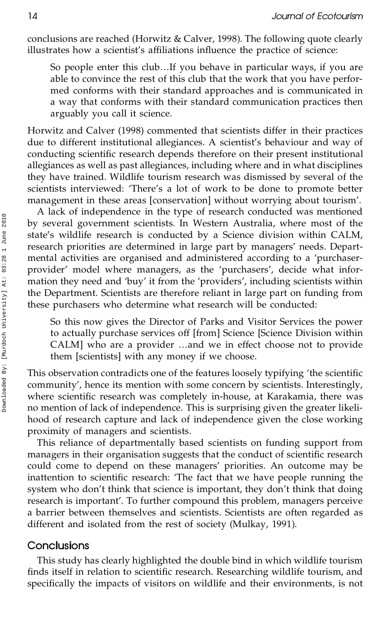conclusions are reached (Horwitz & Calver, 1998). The following quote clearly illustrates how a scientist's affiliations influence the practice of science:

So people enter this club…If you behave in particular ways, if you are able to convince the rest of this club that the work that you have performed conforms with their standard approaches and is communicated in a way that conforms with their standard communication practices then arguably you call it science.

Horwitz and Calver (1998) commented that scientists differ in their practices due to different institutional allegiances. A scientist's behaviour and way of conducting scientific research depends therefore on their present institutional allegiances as well as past allegiances, including where and in what disciplines they have trained. Wildlife tourism research was dismissed by several of the scientists interviewed: 'There's a lot of work to be done to promote better management in these areas [conservation] without worrying about tourism'.

A lack of independence in the type of research conducted was mentioned by several government scientists. In Western Australia, where most of the state's wildlife research is conducted by a Science division within CALM, research priorities are determined in large part by managers' needs. Departmental activities are organised and administered according to a 'purchaserprovider' model where managers, as the 'purchasers', decide what information they need and 'buy' it from the 'providers', including scientists within the Department. Scientists are therefore reliant in large part on funding from these purchasers who determine what research will be conducted:

So this now gives the Director of Parks and Visitor Services the power to actually purchase services off [from] Science [Science Division within CALM] who are a provider …and we in effect choose not to provide them [scientists] with any money if we choose.

This observation contradicts one of the features loosely typifying 'the scientific community', hence its mention with some concern by scientists. Interestingly, where scientific research was completely in-house, at Karakamia, there was no mention of lack of independence. This is surprising given the greater likelihood of research capture and lack of independence given the close working proximity of managers and scientists.

This reliance of departmentally based scientists on funding support from managers in their organisation suggests that the conduct of scientific research could come to depend on these managers' priorities. An outcome may be inattention to scientific research: 'The fact that we have people running the system who don't think that science is important, they don't think that doing research is important'. To further compound this problem, managers perceive a barrier between themselves and scientists. Scientists are often regarded as different and isolated from the rest of society (Mulkay, 1991).

## Conclusions

This study has clearly highlighted the double bind in which wildlife tourism finds itself in relation to scientific research. Researching wildlife tourism, and specifically the impacts of visitors on wildlife and their environments, is not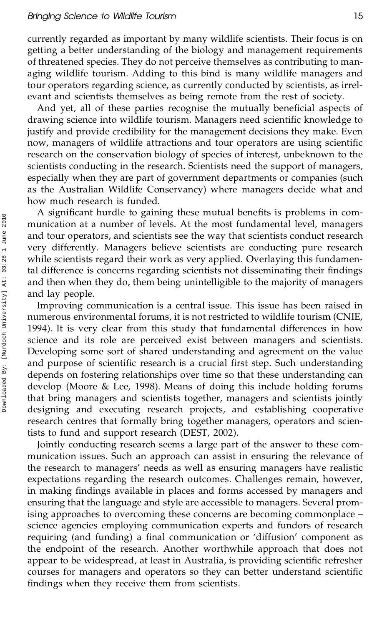currently regarded as important by many wildlife scientists. Their focus is on getting a better understanding of the biology and management requirements of threatened species. They do not perceive themselves as contributing to managing wildlife tourism. Adding to this bind is many wildlife managers and tour operators regarding science, as currently conducted by scientists, as irrelevant and scientists themselves as being remote from the rest of society.

And yet, all of these parties recognise the mutually beneficial aspects of drawing science into wildlife tourism. Managers need scientific knowledge to justify and provide credibility for the management decisions they make. Even now, managers of wildlife attractions and tour operators are using scientific research on the conservation biology of species of interest, unbeknown to the scientists conducting in the research. Scientists need the support of managers, especially when they are part of government departments or companies (such as the Australian Wildlife Conservancy) where managers decide what and how much research is funded.

A significant hurdle to gaining these mutual benefits is problems in communication at a number of levels. At the most fundamental level, managers and tour operators, and scientists see the way that scientists conduct research very differently. Managers believe scientists are conducting pure research while scientists regard their work as very applied. Overlaying this fundamental difference is concerns regarding scientists not disseminating their findings and then when they do, them being unintelligible to the majority of managers and lay people.

Improving communication is a central issue. This issue has been raised in numerous environmental forums, it is not restricted to wildlife tourism (CNIE, 1994). It is very clear from this study that fundamental differences in how science and its role are perceived exist between managers and scientists. Developing some sort of shared understanding and agreement on the value and purpose of scientific research is a crucial first step. Such understanding depends on fostering relationships over time so that these understanding can develop (Moore & Lee, 1998). Means of doing this include holding forums that bring managers and scientists together, managers and scientists jointly designing and executing research projects, and establishing cooperative research centres that formally bring together managers, operators and scientists to fund and support research (DEST, 2002).

Jointly conducting research seems a large part of the answer to these communication issues. Such an approach can assist in ensuring the relevance of the research to managers' needs as well as ensuring managers have realistic expectations regarding the research outcomes. Challenges remain, however, in making findings available in places and forms accessed by managers and ensuring that the language and style are accessible to managers. Several promising approaches to overcoming these concerns are becoming commonplace – science agencies employing communication experts and fundors of research requiring (and funding) a final communication or 'diffusion' component as the endpoint of the research. Another worthwhile approach that does not appear to be widespread, at least in Australia, is providing scientific refresher courses for managers and operators so they can better understand scientific findings when they receive them from scientists.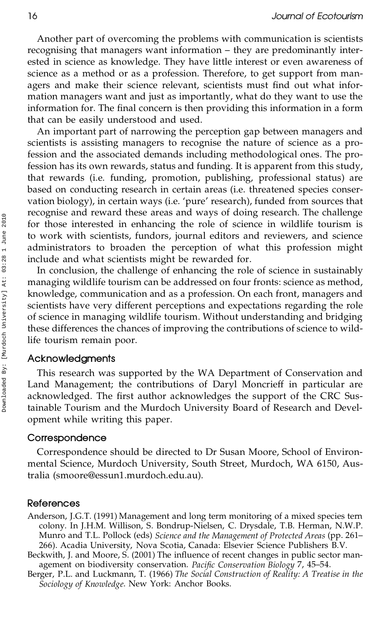Another part of overcoming the problems with communication is scientists recognising that managers want information – they are predominantly interested in science as knowledge. They have little interest or even awareness of science as a method or as a profession. Therefore, to get support from managers and make their science relevant, scientists must find out what information managers want and just as importantly, what do they want to use the information for. The final concern is then providing this information in a form that can be easily understood and used.

An important part of narrowing the perception gap between managers and scientists is assisting managers to recognise the nature of science as a profession and the associated demands including methodological ones. The profession has its own rewards, status and funding. It is apparent from this study, that rewards (i.e. funding, promotion, publishing, professional status) are based on conducting research in certain areas (i.e. threatened species conservation biology), in certain ways (i.e. 'pure' research), funded from sources that recognise and reward these areas and ways of doing research. The challenge for those interested in enhancing the role of science in wildlife tourism is to work with scientists, fundors, journal editors and reviewers, and science administrators to broaden the perception of what this profession might include and what scientists might be rewarded for.

In conclusion, the challenge of enhancing the role of science in sustainably managing wildlife tourism can be addressed on four fronts: science as method, knowledge, communication and as a profession. On each front, managers and scientists have very different perceptions and expectations regarding the role of science in managing wildlife tourism. Without understanding and bridging these differences the chances of improving the contributions of science to wildlife tourism remain poor.

# Acknowledgments

This research was supported by the WA Department of Conservation and Land Management; the contributions of Daryl Moncrieff in particular are acknowledged. The first author acknowledges the support of the CRC Sustainable Tourism and the Murdoch University Board of Research and Development while writing this paper.

## Correspondence

Correspondence should be directed to Dr Susan Moore, School of Environmental Science, Murdoch University, South Street, Murdoch, WA 6150, Australia (smoore@essun1.murdoch.edu.au).

#### References

Anderson, J.G.T. (1991) Management and long term monitoring of a mixed species tern colony. In J.H.M. Willison, S. Bondrup-Nielsen, C. Drysdale, T.B. Herman, N.W.P. Munro and T.L. Pollock (eds) *Science and the Management of Protected Areas* (pp. 261– 266). Acadia University, Nova Scotia, Canada: Elsevier Science Publishers B.V.

Beckwith, J. and Moore, S. (2001) The influence of recent changes in public sector management on biodiversity conservation. *Pacic Conservation Biology* 7, 45–54.

Berger, P.L. and Luckmann, T. (1966) *The Social Construction of Reality: A Treatise in the Sociology of Knowledge*. New York: Anchor Books.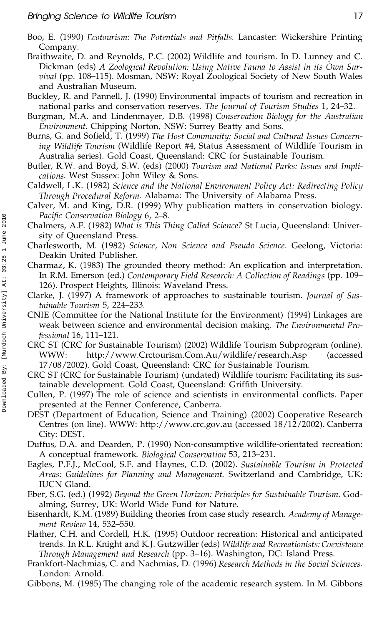- Boo, E. (1990) *Ecotourism: The Potentials and Pitfalls*. Lancaster: Wickershire Printing Company.
- Braithwaite, D. and Reynolds, P.C. (2002) Wildlife and tourism. In D. Lunney and C. Dickman (eds) *A Zoological Revolution: Using Native Fauna to Assist in its Own Survival* (pp. 108–115). Mosman, NSW: Royal Zoological Society of New South Wales and Australian Museum.
- Buckley, R. and Pannell, J. (1990) Environmental impacts of tourism and recreation in national parks and conservation reserves. *The Journal of Tourism Studies* 1, 24–32.
- Burgman, M.A. and Lindenmayer, D.B. (1998) *Conservation Biology for the Australian Environment*. Chipping Norton, NSW: Surrey Beatty and Sons.
- Burns, G. and Sofield, T. (1999) *The Host Community: Social and Cultural Issues Concerning Wildlife Tourism* (Wildlife Report #4, Status Assessment of Wildlife Tourism in Australia series). Gold Coast, Queensland: CRC for Sustainable Tourism.
- Butler, R.W. and Boyd, S.W. (eds) (2000) *Tourism and National Parks: Issues and Implications*. West Sussex: John Wiley & Sons.
- Caldwell, L.K. (1982) *Science and the National Environment Policy Act: Redirecting Policy Through Procedural Reform*. Alabama: The University of Alabama Press.
- Calver, M. and King, D.R. (1999) Why publication matters in conservation biology. *Pacic Conservation Biology* 6, 2–8.
- Chalmers, A.F. (1982) *What is This Thing Called Science?* St Lucia, Queensland: University of Queensland Press.
- Charlesworth, M. (1982) *Science, Non Science and Pseudo Science*. Geelong, Victoria: Deakin United Publisher.
- Charmaz, K. (1983) The grounded theory method: An explication and interpretation. In R.M. Emerson (ed.) *Contemporary Field Research: A Collection of Readings* (pp. 109– 126). Prospect Heights, Illinois: Waveland Press.
- Clarke, J. (1997) A framework of approaches to sustainable tourism. *Journal of Sustainable Tourism* 5, 224–233.
- CNIE (Committee for the National Institute for the Environment) (1994) Linkages are weak between science and environmental decision making. *The Environmental Professional* 16, 111–121.
- CRC ST (CRC for Sustainable Tourism) (2002) Wildlife Tourism Subprogram (online). WWW: http://www.Crctourism.Com.Au/wildlife/research.Asp (accessed 17/08/2002). Gold Coast, Queensland: CRC for Sustainable Tourism.
- CRC ST (CRC for Sustainable Tourism) (undated) Wildlife tourism: Facilitating its sustainable development. Gold Coast, Queensland: Grifth University.
- Cullen, P. (1997) The role of science and scientists in environmental conflicts. Paper presented at the Fenner Conference, Canberra.
- DEST (Department of Education, Science and Training) (2002) Cooperative Research Centres (on line). WWW: http://www.crc.gov.au (accessed 18/12/2002). Canberra City: DEST.
- Duffus, D.A. and Dearden, P. (1990) Non-consumptive wildlife-orientated recreation: A conceptual framework. *Biological Conservation* 53, 213–231.
- Eagles, P.F.J., McCool, S.F. and Haynes, C.D. (2002). *Sustainable Tourism in Protected Areas: Guidelines for Planning and Management*. Switzerland and Cambridge, UK: IUCN Gland.
- Eber, S.G. (ed.) (1992) *Beyond the Green Horizon: Principles for Sustainable Tourism*. Godalming, Surrey, UK: World Wide Fund for Nature.
- Eisenhardt, K.M. (1989) Building theories from case study research. *Academy of Management Review* 14, 532–550.
- Flather, C.H. and Cordell, H.K. (1995) Outdoor recreation: Historical and anticipated trends. In R.L. Knight and K.J. Gutzwiller (eds) *Wildlife and Recreationists: Coexistence Through Management and Research* (pp. 3–16). Washington, DC: Island Press.
- Frankfort-Nachmias, C. and Nachmias, D. (1996) *Research Methods in the Social Sciences*. London: Arnold.
- Gibbons, M. (1985) The changing role of the academic research system. In M. Gibbons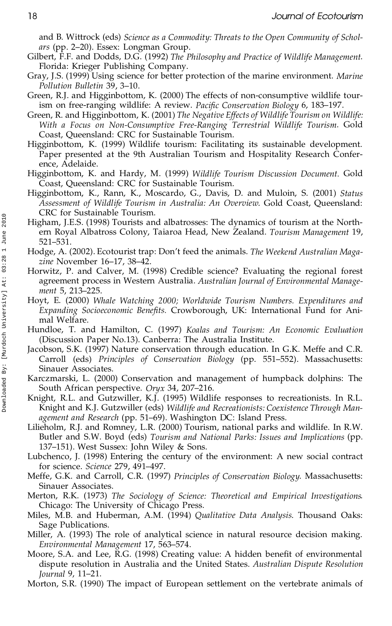and B.Wittrock (eds) *Science as a Commodity: Threats to the Open Community of Schol ars* (pp. 2–20). Essex: Longman Group.

- Gilbert, F.F. and Dodds, D.G. (1992) *The Philosophy and Practice of Wildlife Management*. Florida: Krieger Publishing Company.
- Gray, J.S. (1999) Using science for better protection of the marine environment. *Marine Pollution Bulletin* 39, 3–10.
- Green, R.J. and Higginbottom, K. (2000) The effects of non-consumptive wildlife tourism on free-ranging wildlife: A review. *Pacic Conservation Biology* 6, 183–197.
- Green, R. and Higginbottom, K. (2001) *The Negative Effects of Wildlife Tourism on Wildlife: With a Focus on Non-Consumptive Free-Ranging Terrestrial Wildlife Tourism*. Gold Coast, Queensland: CRC for Sustainable Tourism.
- Higginbottom, K. (1999) Wildlife tourism: Facilitating its sustainable development. Paper presented at the 9th Australian Tourism and Hospitality Research Conference, Adelaide.
- Higginbottom, K. and Hardy, M. (1999) *Wildlife Tourism Discussion Document.* Gold Coast, Queensland: CRC for Sustainable Tourism.
- Higginbottom, K., Rann, K., Moscardo, G., Davis, D. and Muloin, S. (2001) *Status Assessment of Wildlife Tourism in Australia: An Overview*. Gold Coast, Queensland: CRC for Sustainable Tourism.
- Higham, J.E.S. (1998) Tourists and albatrosses: The dynamics of tourism at the North ern Royal Albatross Colony, Taiaroa Head, New Zealand. *Tourism Management* 19, 521–531.
- Hodge, A. (2002). Ecotourist trap: Don't feed the animals. *The Weekend Australian Magazine* November 16–17, 38–42.
- Horwitz, P. and Calver, M. (1998) Credible science? Evaluating the regional forest agreement process in Western Australia. *Australian Journal of Environmental Management* 5, 213–225.
- Hoyt, E. (2000) *Whale Watching 2000; Worldwide Tourism Numbers. Expenditures and Expanding Socioeconomic Benets.* Crowborough, UK: International Fund for Animal Welfare.
- Hundloe, T. and Hamilton, C. (1997) *Koalas and Tourism: An Economic Evaluation* (Discussion Paper No.13). Canberra: The Australia Institute.
- Jacobson, S.K. (1997) Nature conservation through education. In G.K. Meffe and C.R. Carroll (eds) *Principles of Conservation Biology* (pp. 551–552). Massachusetts: Sinauer Associates.
- Karczmarski, L. (2000) Conservation and management of humpback dolphins: The South African perspective. *Oryx* 34, 207–216.
- Knight, R.L. and Gutzwiller, K.J. (1995) Wildlife responses to recreationists. In R.L. Knight and K.J. Gutzwiller (eds) *Wildlife and Recreationists: Coexistence Through Management and Research* (pp. 51–69). Washington DC: Island Press.
- Lilieholm, R.J. and Romney, L.R. (2000) Tourism, national parks and wildlife. In R.W. Butler and S.W. Boyd (eds) *Tourism and National Parks: Issues and Implications* (pp. 137–151). West Sussex: John Wiley & Sons.
- Lubchenco, J. (1998) Entering the century of the environment: A new social contract for science. *Science* 279, 491–497.
- Meffe, G.K. and Carroll, C.R. (1997) *Principles of Conservation Biology*. Massachusetts: Sinauer Associates.
- Merton, R.K. (1973) *The Sociology of Science: Theoretical and Empirical Investigations*. Chicago: The University of Chicago Press.
- Miles, M.B. and Huberman, A.M. (1994) *Qualitative Data Analysis*. Thousand Oaks: Sage Publications.
- Miller, A. (1993) The role of analytical science in natural resource decision making. *Environmental Management* 17, 563–574.
- Moore, S.A. and Lee, R.G. (1998) Creating value: A hidden benefit of environmental dispute resolution in Australia and the United States. *Australian Dispute Resolution Journal* 9, 11–21.
- Morton, S.R. (1990) The impact of European settlement on the vertebrate animals of